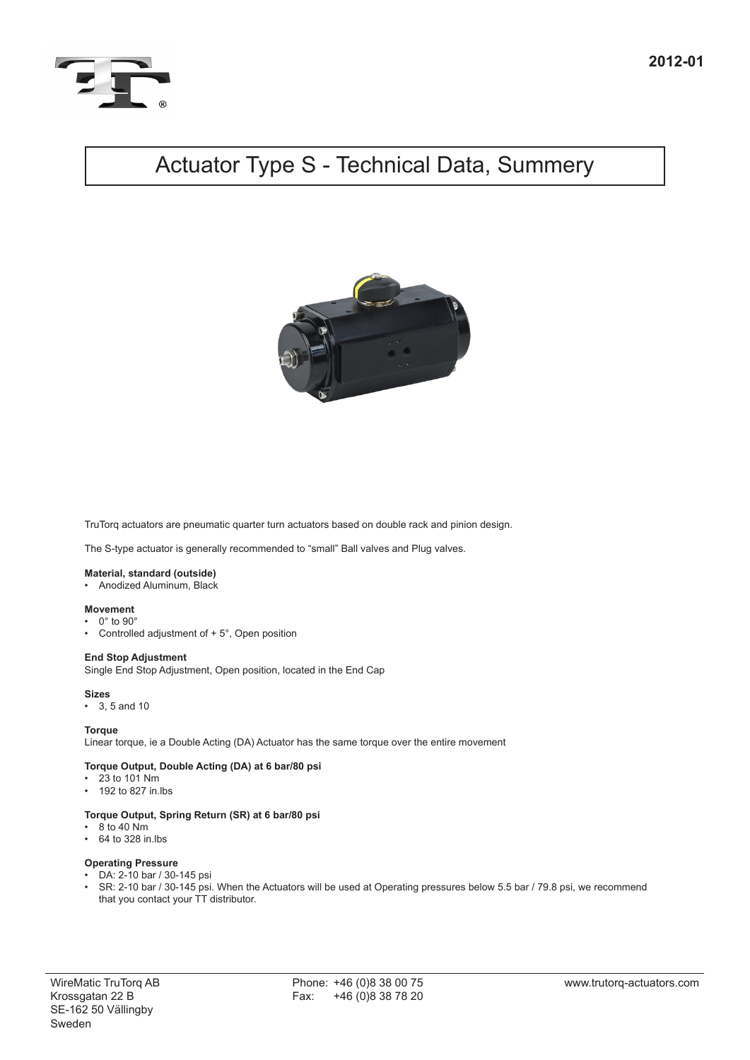

# Actuator Type S - Technical Data, Summery



TruTorq actuators are pneumatic quarter turn actuators based on double rack and pinion design.

The S-type actuator is generally recommended to "small" Ball valves and Plug valves.

# **Material, standard (outside)**

• Anodized Aluminum, Black

## **Movement**

- $0^\circ$  to  $90^\circ$
- Controlled adjustment of  $+5^{\circ}$ , Open position

### **End Stop Adjustment**

Single End Stop Adjustment, Open position, located in the End Cap

#### **Sizes**

3, 5 and 10

### **Torque**

Linear torque, ie a Double Acting (DA) Actuator has the same torque over the entire movement

### **Torque Output, Double Acting (DA) at 6 bar/80 psi**

- $23$  to 101 Nm
- • 192 to 827 in.lbs

# **Torque Output, Spring Return (SR) at 6 bar/80 psi**

- $\cdot$  8 to 40 Nm
- • 64 to 328 in.lbs

# **Operating Pressure**

- DA: 2-10 bar / 30-145 psi<br>• SR: 2-10 bar / 30-145 psi
- SR: 2-10 bar / 30-145 psi. When the Actuators will be used at Operating pressures below 5.5 bar / 79.8 psi, we recommend that you contact your TT distributor.